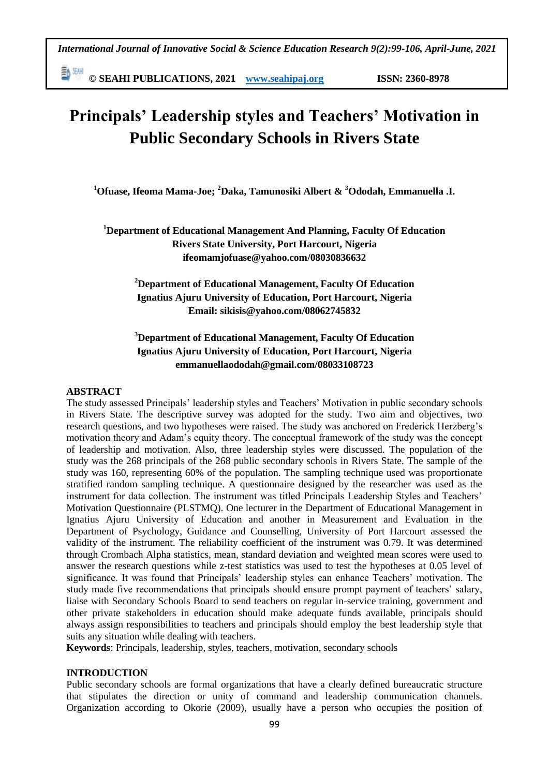動洲 **© SEAHI PUBLICATIONS, 2021 [www.seahipaj.org](http://www.seahipaj.org/) ISSN: 2360-8978**

# **Principals' Leadership styles and Teachers' Motivation in Public Secondary Schools in Rivers State**

**<sup>1</sup>Ofuase, Ifeoma Mama-Joe; <sup>2</sup>Daka, Tamunosiki Albert & <sup>3</sup>Ododah, Emmanuella .I.**

**<sup>1</sup>Department of Educational Management And Planning, Faculty Of Education Rivers State University, Port Harcourt, Nigeria ifeomamjofuase@yahoo.com/08030836632**

**<sup>2</sup>Department of Educational Management, Faculty Of Education Ignatius Ajuru University of Education, Port Harcourt, Nigeria Email: sikisis@yahoo.com/08062745832**

## **<sup>3</sup>Department of Educational Management, Faculty Of Education Ignatius Ajuru University of Education, Port Harcourt, Nigeria emmanuellaododah@gmail.com/08033108723**

## **ABSTRACT**

The study assessed Principals' leadership styles and Teachers' Motivation in public secondary schools in Rivers State. The descriptive survey was adopted for the study. Two aim and objectives, two research questions, and two hypotheses were raised. The study was anchored on Frederick Herzberg's motivation theory and Adam's equity theory. The conceptual framework of the study was the concept of leadership and motivation. Also, three leadership styles were discussed. The population of the study was the 268 principals of the 268 public secondary schools in Rivers State. The sample of the study was 160, representing 60% of the population. The sampling technique used was proportionate stratified random sampling technique. A questionnaire designed by the researcher was used as the instrument for data collection. The instrument was titled Principals Leadership Styles and Teachers' Motivation Questionnaire (PLSTMQ). One lecturer in the Department of Educational Management in Ignatius Ajuru University of Education and another in Measurement and Evaluation in the Department of Psychology, Guidance and Counselling, University of Port Harcourt assessed the validity of the instrument. The reliability coefficient of the instrument was 0.79. It was determined through Crombach Alpha statistics, mean, standard deviation and weighted mean scores were used to answer the research questions while z-test statistics was used to test the hypotheses at 0.05 level of significance. It was found that Principals' leadership styles can enhance Teachers' motivation. The study made five recommendations that principals should ensure prompt payment of teachers' salary, liaise with Secondary Schools Board to send teachers on regular in-service training, government and other private stakeholders in education should make adequate funds available, principals should always assign responsibilities to teachers and principals should employ the best leadership style that suits any situation while dealing with teachers.

**Keywords**: Principals, leadership, styles, teachers, motivation, secondary schools

#### **INTRODUCTION**

Public secondary schools are formal organizations that have a clearly defined bureaucratic structure that stipulates the direction or unity of command and leadership communication channels. Organization according to Okorie (2009), usually have a person who occupies the position of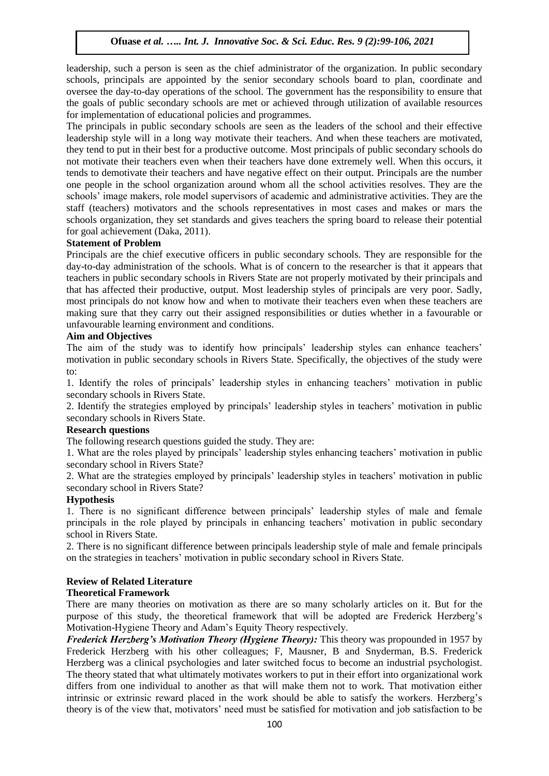leadership, such a person is seen as the chief administrator of the organization. In public secondary schools, principals are appointed by the senior secondary schools board to plan, coordinate and oversee the day-to-day operations of the school. The government has the responsibility to ensure that the goals of public secondary schools are met or achieved through utilization of available resources for implementation of educational policies and programmes.

The principals in public secondary schools are seen as the leaders of the school and their effective leadership style will in a long way motivate their teachers. And when these teachers are motivated, they tend to put in their best for a productive outcome. Most principals of public secondary schools do not motivate their teachers even when their teachers have done extremely well. When this occurs, it tends to demotivate their teachers and have negative effect on their output. Principals are the number one people in the school organization around whom all the school activities resolves. They are the schools' image makers, role model supervisors of academic and administrative activities. They are the staff (teachers) motivators and the schools representatives in most cases and makes or mars the schools organization, they set standards and gives teachers the spring board to release their potential for goal achievement (Daka, 2011).

## **Statement of Problem**

Principals are the chief executive officers in public secondary schools. They are responsible for the day-to-day administration of the schools. What is of concern to the researcher is that it appears that teachers in public secondary schools in Rivers State are not properly motivated by their principals and that has affected their productive, output. Most leadership styles of principals are very poor. Sadly, most principals do not know how and when to motivate their teachers even when these teachers are making sure that they carry out their assigned responsibilities or duties whether in a favourable or unfavourable learning environment and conditions.

### **Aim and Objectives**

The aim of the study was to identify how principals' leadership styles can enhance teachers' motivation in public secondary schools in Rivers State. Specifically, the objectives of the study were to:

1. Identify the roles of principals' leadership styles in enhancing teachers' motivation in public secondary schools in Rivers State.

2. Identify the strategies employed by principals' leadership styles in teachers' motivation in public secondary schools in Rivers State.

## **Research questions**

The following research questions guided the study. They are:

1. What are the roles played by principals' leadership styles enhancing teachers' motivation in public secondary school in Rivers State?

2. What are the strategies employed by principals' leadership styles in teachers' motivation in public secondary school in Rivers State?

## **Hypothesis**

1. There is no significant difference between principals' leadership styles of male and female principals in the role played by principals in enhancing teachers' motivation in public secondary school in Rivers State.

2. There is no significant difference between principals leadership style of male and female principals on the strategies in teachers' motivation in public secondary school in Rivers State.

## **Review of Related Literature**

## **Theoretical Framework**

There are many theories on motivation as there are so many scholarly articles on it. But for the purpose of this study, the theoretical framework that will be adopted are Frederick Herzberg's Motivation-Hygiene Theory and Adam's Equity Theory respectively.

*Frederick Herzberg's Motivation Theory (Hygiene Theory):* This theory was propounded in 1957 by Frederick Herzberg with his other colleagues; F, Mausner, B and Snyderman, B.S. Frederick Herzberg was a clinical psychologies and later switched focus to become an industrial psychologist. The theory stated that what ultimately motivates workers to put in their effort into organizational work differs from one individual to another as that will make them not to work. That motivation either intrinsic or extrinsic reward placed in the work should be able to satisfy the workers. Herzberg's theory is of the view that, motivators' need must be satisfied for motivation and job satisfaction to be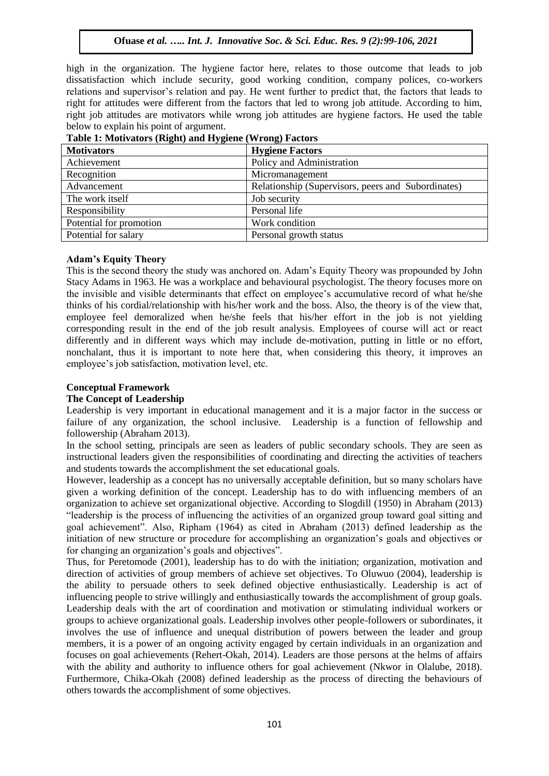high in the organization. The hygiene factor here, relates to those outcome that leads to job dissatisfaction which include security, good working condition, company polices, co-workers relations and supervisor's relation and pay. He went further to predict that, the factors that leads to right for attitudes were different from the factors that led to wrong job attitude. According to him, right job attitudes are motivators while wrong job attitudes are hygiene factors. He used the table below to explain his point of argument.

| ັ<br><b>Motivators</b>  | <b>Hygiene Factors</b>                             |
|-------------------------|----------------------------------------------------|
| Achievement             | Policy and Administration                          |
| Recognition             | Micromanagement                                    |
| Advancement             | Relationship (Supervisors, peers and Subordinates) |
| The work itself         | Job security                                       |
| Responsibility          | Personal life                                      |
| Potential for promotion | Work condition                                     |
| Potential for salary    | Personal growth status                             |

**Table 1: Motivators (Right) and Hygiene (Wrong) Factors**

### **Adam's Equity Theory**

This is the second theory the study was anchored on. Adam's Equity Theory was propounded by John Stacy Adams in 1963. He was a workplace and behavioural psychologist. The theory focuses more on the invisible and visible determinants that effect on employee's accumulative record of what he/she thinks of his cordial/relationship with his/her work and the boss. Also, the theory is of the view that, employee feel demoralized when he/she feels that his/her effort in the job is not yielding corresponding result in the end of the job result analysis. Employees of course will act or react differently and in different ways which may include de-motivation, putting in little or no effort, nonchalant, thus it is important to note here that, when considering this theory, it improves an employee's job satisfaction, motivation level, etc.

## **Conceptual Framework**

### **The Concept of Leadership**

Leadership is very important in educational management and it is a major factor in the success or failure of any organization, the school inclusive. Leadership is a function of fellowship and followership (Abraham 2013).

In the school setting, principals are seen as leaders of public secondary schools. They are seen as instructional leaders given the responsibilities of coordinating and directing the activities of teachers and students towards the accomplishment the set educational goals.

However, leadership as a concept has no universally acceptable definition, but so many scholars have given a working definition of the concept. Leadership has to do with influencing members of an organization to achieve set organizational objective. According to Slogdill (1950) in Abraham (2013) "leadership is the process of influencing the activities of an organized group toward goal sitting and goal achievement". Also, Ripham (1964) as cited in Abraham (2013) defined leadership as the initiation of new structure or procedure for accomplishing an organization's goals and objectives or for changing an organization's goals and objectives".

Thus, for Peretomode (2001), leadership has to do with the initiation; organization, motivation and direction of activities of group members of achieve set objectives. To Oluwuo (2004), leadership is the ability to persuade others to seek defined objective enthusiastically. Leadership is act of influencing people to strive willingly and enthusiastically towards the accomplishment of group goals. Leadership deals with the art of coordination and motivation or stimulating individual workers or groups to achieve organizational goals. Leadership involves other people-followers or subordinates, it involves the use of influence and unequal distribution of powers between the leader and group members, it is a power of an ongoing activity engaged by certain individuals in an organization and focuses on goal achievements (Rehert-Okah, 2014). Leaders are those persons at the helms of affairs with the ability and authority to influence others for goal achievement (Nkwor in Olalube, 2018). Furthermore, Chika-Okah (2008) defined leadership as the process of directing the behaviours of others towards the accomplishment of some objectives.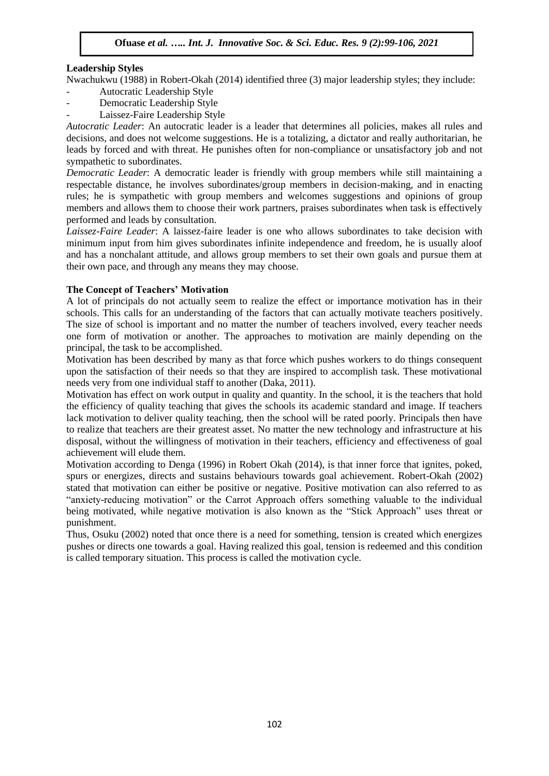## **Leadership Styles**

Nwachukwu (1988) in Robert-Okah (2014) identified three (3) major leadership styles; they include:

- Autocratic Leadership Style
- Democratic Leadership Style
- Laissez-Faire Leadership Style

*Autocratic Leader*: An autocratic leader is a leader that determines all policies, makes all rules and decisions, and does not welcome suggestions. He is a totalizing, a dictator and really authoritarian, he leads by forced and with threat. He punishes often for non-compliance or unsatisfactory job and not sympathetic to subordinates.

*Democratic Leader*: A democratic leader is friendly with group members while still maintaining a respectable distance, he involves subordinates/group members in decision-making, and in enacting rules; he is sympathetic with group members and welcomes suggestions and opinions of group members and allows them to choose their work partners, praises subordinates when task is effectively performed and leads by consultation.

*Laissez-Faire Leader*: A laissez-faire leader is one who allows subordinates to take decision with minimum input from him gives subordinates infinite independence and freedom, he is usually aloof and has a nonchalant attitude, and allows group members to set their own goals and pursue them at their own pace, and through any means they may choose.

## **The Concept of Teachers' Motivation**

A lot of principals do not actually seem to realize the effect or importance motivation has in their schools. This calls for an understanding of the factors that can actually motivate teachers positively. The size of school is important and no matter the number of teachers involved, every teacher needs one form of motivation or another. The approaches to motivation are mainly depending on the principal, the task to be accomplished.

Motivation has been described by many as that force which pushes workers to do things consequent upon the satisfaction of their needs so that they are inspired to accomplish task. These motivational needs very from one individual staff to another (Daka, 2011).

Motivation has effect on work output in quality and quantity. In the school, it is the teachers that hold the efficiency of quality teaching that gives the schools its academic standard and image. If teachers lack motivation to deliver quality teaching, then the school will be rated poorly. Principals then have to realize that teachers are their greatest asset. No matter the new technology and infrastructure at his disposal, without the willingness of motivation in their teachers, efficiency and effectiveness of goal achievement will elude them.

Motivation according to Denga (1996) in Robert Okah (2014), is that inner force that ignites, poked, spurs or energizes, directs and sustains behaviours towards goal achievement. Robert-Okah (2002) stated that motivation can either be positive or negative. Positive motivation can also referred to as "anxiety-reducing motivation" or the Carrot Approach offers something valuable to the individual being motivated, while negative motivation is also known as the "Stick Approach" uses threat or punishment.

Thus, Osuku (2002) noted that once there is a need for something, tension is created which energizes pushes or directs one towards a goal. Having realized this goal, tension is redeemed and this condition is called temporary situation. This process is called the motivation cycle.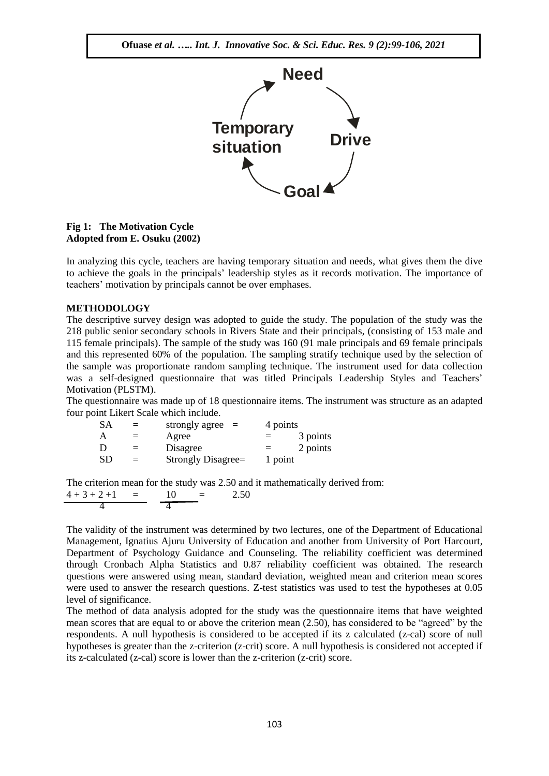

#### **Fig 1: The Motivation Cycle Adopted from E. Osuku (2002)**

In analyzing this cycle, teachers are having temporary situation and needs, what gives them the dive to achieve the goals in the principals' leadership styles as it records motivation. The importance of teachers' motivation by principals cannot be over emphases.

### **METHODOLOGY**

The descriptive survey design was adopted to guide the study. The population of the study was the 218 public senior secondary schools in Rivers State and their principals, (consisting of 153 male and 115 female principals). The sample of the study was 160 (91 male principals and 69 female principals and this represented 60% of the population. The sampling stratify technique used by the selection of the sample was proportionate random sampling technique. The instrument used for data collection was a self-designed questionnaire that was titled Principals Leadership Styles and Teachers' Motivation (PLSTM).

The questionnaire was made up of 18 questionnaire items. The instrument was structure as an adapted four point Likert Scale which include.

| SА        | $\equiv$ | strongly agree<br>$\equiv$ | 4 points        |
|-----------|----------|----------------------------|-----------------|
| A         | $=$      | Agree                      | 3 points<br>$=$ |
| D         | $=$      | Disagree                   | 2 points<br>$=$ |
| <b>SD</b> | $=$      | Strongly Disagree=         | 1 point         |

The criterion mean for the study was 2.50 and it mathematically derived from:  $4 + 3 + 2 +1 = 10 = 2.50$ 4 4

The validity of the instrument was determined by two lectures, one of the Department of Educational Management, Ignatius Ajuru University of Education and another from University of Port Harcourt, Department of Psychology Guidance and Counseling. The reliability coefficient was determined through Cronbach Alpha Statistics and 0.87 reliability coefficient was obtained. The research questions were answered using mean, standard deviation, weighted mean and criterion mean scores were used to answer the research questions. Z-test statistics was used to test the hypotheses at 0.05 level of significance.

The method of data analysis adopted for the study was the questionnaire items that have weighted mean scores that are equal to or above the criterion mean (2.50), has considered to be "agreed" by the respondents. A null hypothesis is considered to be accepted if its z calculated (z-cal) score of null hypotheses is greater than the z-criterion (z-crit) score. A null hypothesis is considered not accepted if its z-calculated (z-cal) score is lower than the z-criterion (z-crit) score.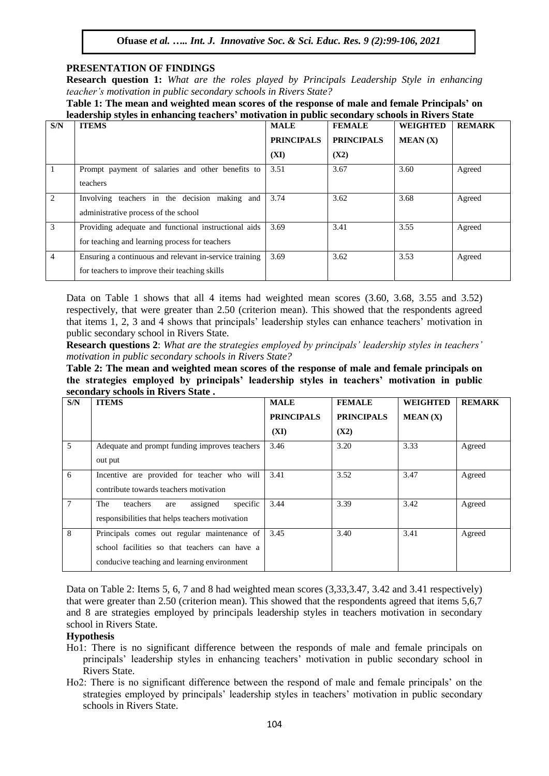## **PRESENTATION OF FINDINGS**

**Research question 1:** *What are the roles played by Principals Leadership Style in enhancing teacher's motivation in public secondary schools in Rivers State?*

**Table 1: The mean and weighted mean scores of the response of male and female Principals' on leadership styles in enhancing teachers' motivation in public secondary schools in Rivers State**

| S/N            | <b>ITEMS</b>                                           | <b>MALE</b>       | <b>FEMALE</b>     | <b>WEIGHTED</b> | <b>REMARK</b> |
|----------------|--------------------------------------------------------|-------------------|-------------------|-----------------|---------------|
|                |                                                        | <b>PRINCIPALS</b> | <b>PRINCIPALS</b> | MEAN(X)         |               |
|                |                                                        | (XI)              | (X2)              |                 |               |
|                | Prompt payment of salaries and other benefits to       | 3.51              | 3.67              | 3.60            | Agreed        |
|                | teachers                                               |                   |                   |                 |               |
| 2              | Involving teachers in the decision making and          | 3.74              | 3.62              | 3.68            | Agreed        |
|                | administrative process of the school                   |                   |                   |                 |               |
| 3              | Providing adequate and functional instructional aids   | 3.69              | 3.41              | 3.55            | Agreed        |
|                | for teaching and learning process for teachers         |                   |                   |                 |               |
| $\overline{4}$ | Ensuring a continuous and relevant in-service training | 3.69              | 3.62              | 3.53            | Agreed        |
|                | for teachers to improve their teaching skills          |                   |                   |                 |               |

Data on Table 1 shows that all 4 items had weighted mean scores (3.60, 3.68, 3.55 and 3.52) respectively, that were greater than 2.50 (criterion mean). This showed that the respondents agreed that items 1, 2, 3 and 4 shows that principals' leadership styles can enhance teachers' motivation in public secondary school in Rivers State.

**Research questions 2**: *What are the strategies employed by principals' leadership styles in teachers' motivation in public secondary schools in Rivers State?* 

**Table 2: The mean and weighted mean scores of the response of male and female principals on the strategies employed by principals' leadership styles in teachers' motivation in public secondary schools in Rivers State .**

| S/N            | ັ<br><b>ITEMS</b>                                                                                                                           | <b>MALE</b>       | <b>FEMALE</b>     | <b>WEIGHTED</b> | <b>REMARK</b> |
|----------------|---------------------------------------------------------------------------------------------------------------------------------------------|-------------------|-------------------|-----------------|---------------|
|                |                                                                                                                                             | <b>PRINCIPALS</b> | <b>PRINCIPALS</b> | MEAN(X)         |               |
|                |                                                                                                                                             | (XI)              | (X2)              |                 |               |
| 5              | Adequate and prompt funding improves teachers<br>out put                                                                                    | 3.46              | 3.20              | 3.33            | Agreed        |
| 6              | Incentive are provided for teacher who will<br>contribute towards teachers motivation                                                       | 3.41              | 3.52              | 3.47            | Agreed        |
| $\overline{7}$ | assigned<br>specific<br>The<br>teachers<br>are<br>responsibilities that helps teachers motivation                                           | 3.44              | 3.39              | 3.42            | Agreed        |
| 8              | Principals comes out regular maintenance of<br>school facilities so that teachers can have a<br>conducive teaching and learning environment | 3.45              | 3.40              | 3.41            | Agreed        |

Data on Table 2: Items 5, 6, 7 and 8 had weighted mean scores (3,33,3.47, 3.42 and 3.41 respectively) that were greater than 2.50 (criterion mean). This showed that the respondents agreed that items 5,6,7 and 8 are strategies employed by principals leadership styles in teachers motivation in secondary school in Rivers State.

### **Hypothesis**

- Ho1: There is no significant difference between the responds of male and female principals on principals' leadership styles in enhancing teachers' motivation in public secondary school in Rivers State.
- Ho2: There is no significant difference between the respond of male and female principals' on the strategies employed by principals' leadership styles in teachers' motivation in public secondary schools in Rivers State.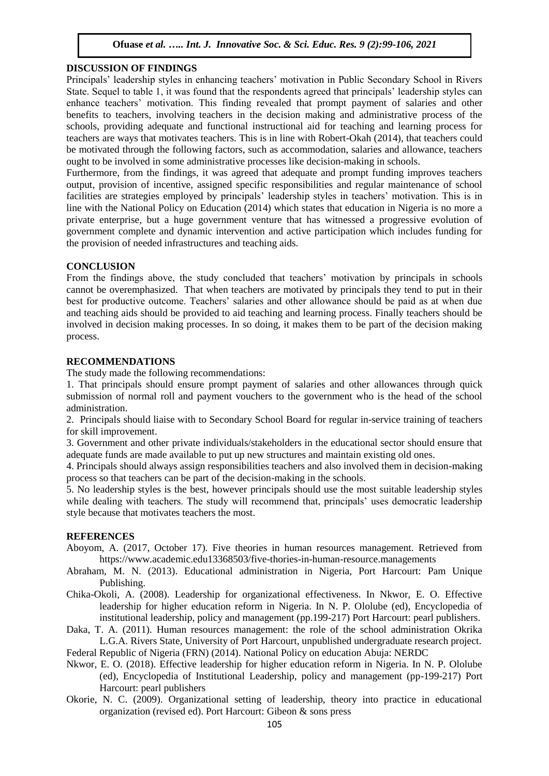### **DISCUSSION OF FINDINGS**

Principals' leadership styles in enhancing teachers' motivation in Public Secondary School in Rivers State. Sequel to table 1, it was found that the respondents agreed that principals' leadership styles can enhance teachers' motivation. This finding revealed that prompt payment of salaries and other benefits to teachers, involving teachers in the decision making and administrative process of the schools, providing adequate and functional instructional aid for teaching and learning process for teachers are ways that motivates teachers. This is in line with Robert-Okah (2014), that teachers could be motivated through the following factors, such as accommodation, salaries and allowance, teachers ought to be involved in some administrative processes like decision-making in schools.

Furthermore, from the findings, it was agreed that adequate and prompt funding improves teachers output, provision of incentive, assigned specific responsibilities and regular maintenance of school facilities are strategies employed by principals' leadership styles in teachers' motivation. This is in line with the National Policy on Education (2014) which states that education in Nigeria is no more a private enterprise, but a huge government venture that has witnessed a progressive evolution of government complete and dynamic intervention and active participation which includes funding for the provision of needed infrastructures and teaching aids.

#### **CONCLUSION**

From the findings above, the study concluded that teachers' motivation by principals in schools cannot be overemphasized. That when teachers are motivated by principals they tend to put in their best for productive outcome. Teachers' salaries and other allowance should be paid as at when due and teaching aids should be provided to aid teaching and learning process. Finally teachers should be involved in decision making processes. In so doing, it makes them to be part of the decision making process.

### **RECOMMENDATIONS**

The study made the following recommendations:

1. That principals should ensure prompt payment of salaries and other allowances through quick submission of normal roll and payment vouchers to the government who is the head of the school administration.

2. Principals should liaise with to Secondary School Board for regular in-service training of teachers for skill improvement.

3. Government and other private individuals/stakeholders in the educational sector should ensure that adequate funds are made available to put up new structures and maintain existing old ones.

4. Principals should always assign responsibilities teachers and also involved them in decision-making process so that teachers can be part of the decision-making in the schools.

5. No leadership styles is the best, however principals should use the most suitable leadership styles while dealing with teachers. The study will recommend that, principals' uses democratic leadership style because that motivates teachers the most.

### **REFERENCES**

- Aboyom, A. (2017, October 17). Five theories in human resources management. Retrieved from https://www.academic.edu13368503/five-thories-in-human-resource.managements
- Abraham, M. N. (2013). Educational administration in Nigeria, Port Harcourt: Pam Unique Publishing.
- Chika-Okoli, A. (2008). Leadership for organizational effectiveness. In Nkwor, E. O. Effective leadership for higher education reform in Nigeria. In N. P. Ololube (ed), Encyclopedia of institutional leadership, policy and management (pp.199-217) Port Harcourt: pearl publishers.
- Daka, T. A. (2011). Human resources management: the role of the school administration Okrika L.G.A. Rivers State, University of Port Harcourt, unpublished undergraduate research project.
- Federal Republic of Nigeria (FRN) (2014). National Policy on education Abuja: NERDC
- Nkwor, E. O. (2018). Effective leadership for higher education reform in Nigeria. In N. P. Ololube (ed), Encyclopedia of Institutional Leadership, policy and management (pp-199-217) Port Harcourt: pearl publishers
- Okorie, N. C. (2009). Organizational setting of leadership, theory into practice in educational organization (revised ed). Port Harcourt: Gibeon & sons press